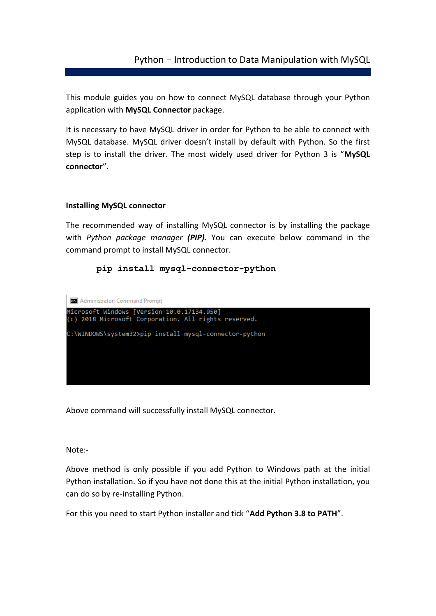# Python – Introduction to Data Manipulation with MySQL

This module guides you on how to connect MySQL database through your Python application with **MySQL Connector** package.

It is necessary to have MySQL driver in order for Python to be able to connect with MySQL database. MySQL driver doesn't install by default with Python. So the first step is to install the driver. The most widely used driver for Python 3 is "**MySQL connector**".

### **Installing MySQL connector**

The recommended way of installing MySQL connector is by installing the package with *Python package manager (PIP).* You can execute below command in the command prompt to install MySQL connector.

#### **pip install mysql-connector-python**



Above command will successfully install MySQL connector.

Note:-

Above method is only possible if you add Python to Windows path at the initial Python installation. So if you have not done this at the initial Python installation, you can do so by re-installing Python.

For this you need to start Python installer and tick "**Add Python 3.8 to PATH**".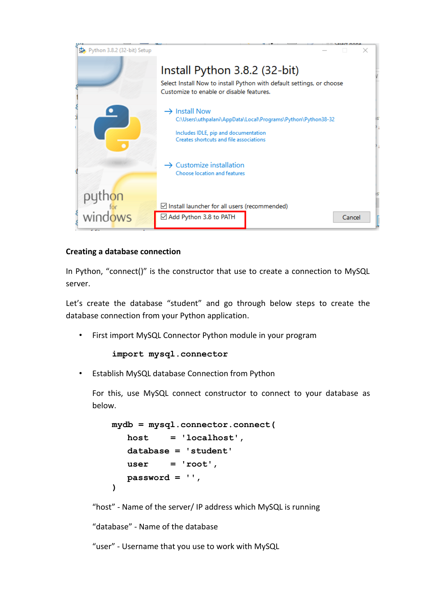

## **Creating a database connection**

In Python, "connect()" is the constructor that use to create a connection to MySQL server.

Let's create the database "student" and go through below steps to create the database connection from your Python application.

First import MySQL Connector Python module in your program

```
import mysql.connector
```
• Establish MySQL database Connection from Python

For this, use MySQL connect constructor to connect to your database as below.

```
mydb = mysql.connector.connect(
    host = 'localhost', 
    database = 'student'
   user = 'root',
    password = '', 
)
```
"host" - Name of the server/ IP address which MySQL is running

"database" - Name of the database

"user" - Username that you use to work with MySQL